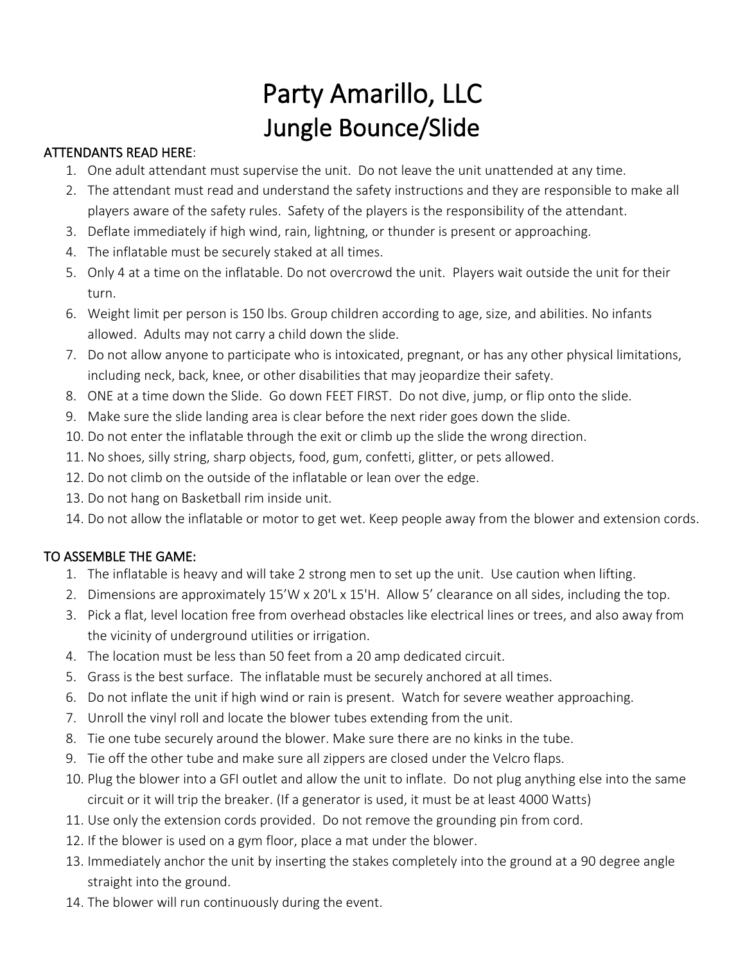## Party Amarillo, LLC Jungle Bounce/Slide

## ATTENDANTS READ HERE:

- 1. One adult attendant must supervise the unit. Do not leave the unit unattended at any time.
- 2. The attendant must read and understand the safety instructions and they are responsible to make all players aware of the safety rules. Safety of the players is the responsibility of the attendant.
- 3. Deflate immediately if high wind, rain, lightning, or thunder is present or approaching.
- 4. The inflatable must be securely staked at all times.
- 5. Only 4 at a time on the inflatable. Do not overcrowd the unit. Players wait outside the unit for their turn.
- 6. Weight limit per person is 150 lbs. Group children according to age, size, and abilities. No infants allowed. Adults may not carry a child down the slide.
- 7. Do not allow anyone to participate who is intoxicated, pregnant, or has any other physical limitations, including neck, back, knee, or other disabilities that may jeopardize their safety.
- 8. ONE at a time down the Slide. Go down FEET FIRST. Do not dive, jump, or flip onto the slide.
- 9. Make sure the slide landing area is clear before the next rider goes down the slide.
- 10. Do not enter the inflatable through the exit or climb up the slide the wrong direction.
- 11. No shoes, silly string, sharp objects, food, gum, confetti, glitter, or pets allowed.
- 12. Do not climb on the outside of the inflatable or lean over the edge.
- 13. Do not hang on Basketball rim inside unit.
- 14. Do not allow the inflatable or motor to get wet. Keep people away from the blower and extension cords.

## TO ASSEMBLE THE GAME:

- 1. The inflatable is heavy and will take 2 strong men to set up the unit. Use caution when lifting.
- 2. Dimensions are approximately 15'W x 20'L x 15'H. Allow 5' clearance on all sides, including the top.
- 3. Pick a flat, level location free from overhead obstacles like electrical lines or trees, and also away from the vicinity of underground utilities or irrigation.
- 4. The location must be less than 50 feet from a 20 amp dedicated circuit.
- 5. Grass is the best surface. The inflatable must be securely anchored at all times.
- 6. Do not inflate the unit if high wind or rain is present. Watch for severe weather approaching.
- 7. Unroll the vinyl roll and locate the blower tubes extending from the unit.
- 8. Tie one tube securely around the blower. Make sure there are no kinks in the tube.
- 9. Tie off the other tube and make sure all zippers are closed under the Velcro flaps.
- 10. Plug the blower into a GFI outlet and allow the unit to inflate. Do not plug anything else into the same circuit or it will trip the breaker. (If a generator is used, it must be at least 4000 Watts)
- 11. Use only the extension cords provided. Do not remove the grounding pin from cord.
- 12. If the blower is used on a gym floor, place a mat under the blower.
- 13. Immediately anchor the unit by inserting the stakes completely into the ground at a 90 degree angle straight into the ground.
- 14. The blower will run continuously during the event.